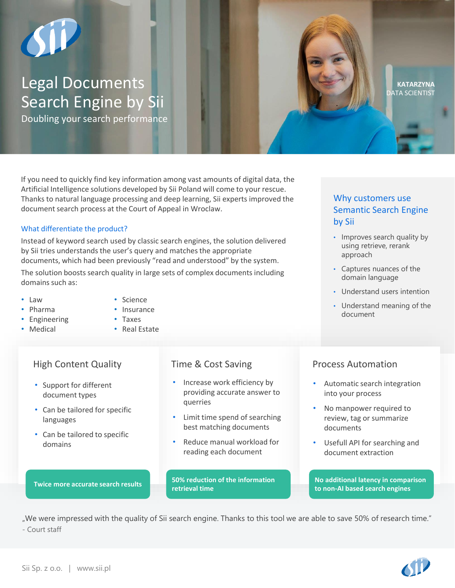# Legal Documents Search Engine by Sii

Doubling your search performance

If you need to quickly find key information among vast amounts of digital data, the Artificial Intelligence solutions developed by Sii Poland will come to your rescue. Thanks to natural language processing and deep learning, Sii experts improved the document search process at the Court of Appeal in Wroclaw.

### What differentiate the product?

Instead of keyword search used by classic search engines, the solution delivered by Sii tries understands the user's query and matches the appropriate documents, which had been previously "read and understood" by the system.

The solution boosts search quality in large sets of complex documents including domains such as:

- Law
- Pharma
- Engineering
- Medical
- Insurance • Taxes

• Science

• Real Estate

# High Content Quality Time & Cost Saving Process Automation

- Support for different document types
- Can be tailored for specific languages
- Can be tailored to specific domains

## **Twice more accurate search results**

- Increase work efficiency by providing accurate answer to querries
- Limit time spend of searching best matching documents
- Reduce manual workload for reading each document

**50% reduction of the information retrieval time**

## Why customers use Semantic Search Engine by Sii

**KATARZYNA** DATA SCIENTIST

- Improves search quality by using retrieve, rerank approach
- Captures nuances of the domain language
- Understand users intention
- Understand meaning of the document

- Automatic search integration into your process
- No manpower required to review, tag or summarize documents
- Usefull API for searching and document extraction

**No additional latency in comparison to non-AI based search engines**

"We were impressed with the quality of Sii search engine. Thanks to this tool we are able to save 50% of research time." - Court staff